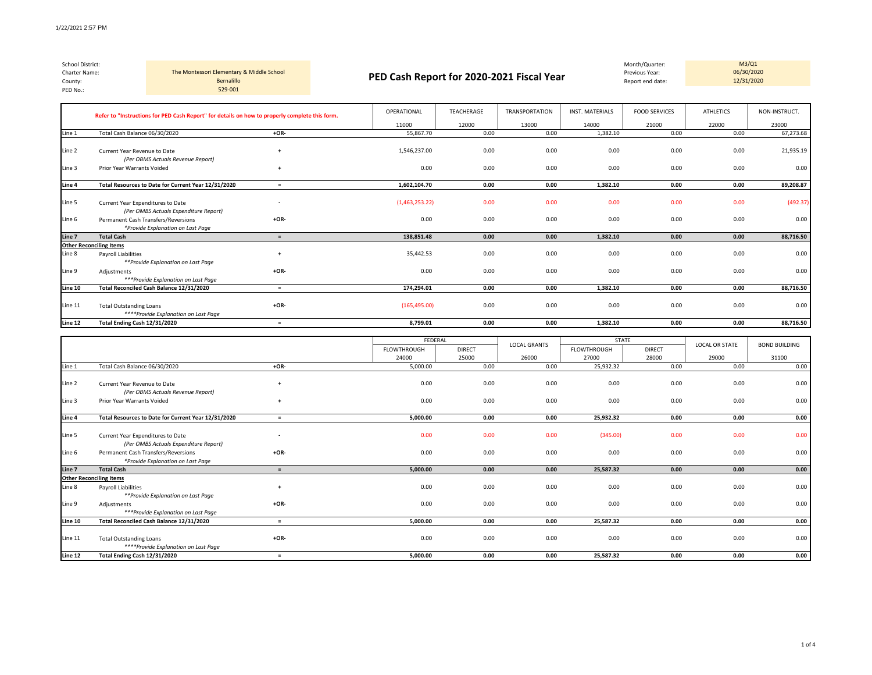*\*\*\*\*Provide Explanation on Last Page*

| School District:<br>Charter Name:<br>County:<br>PED No.: |                                              | The Montessori Elementary & Middle School<br>Bernalillo<br>529-001                             | PED Cash Report for 2020-2021 Fiscal Year |      |                |            | M3/Q1<br>Month/Quarter:<br>06/30/2020<br>Previous Year:<br>12/31/2020<br>Report end date: |                        |                      |                  |               |
|----------------------------------------------------------|----------------------------------------------|------------------------------------------------------------------------------------------------|-------------------------------------------|------|----------------|------------|-------------------------------------------------------------------------------------------|------------------------|----------------------|------------------|---------------|
|                                                          |                                              | Refer to "Instructions for PED Cash Report" for details on how to properly complete this form. |                                           |      | OPERATIONAL    | TEACHERAGE | <b>TRANSPORTATION</b>                                                                     | <b>INST. MATERIALS</b> | <b>FOOD SERVICES</b> | <b>ATHLETICS</b> | NON-INSTRUCT. |
|                                                          |                                              |                                                                                                |                                           |      | 11000          | 12000      | 13000                                                                                     | 14000                  | 21000                | 22000            | 23000         |
| Line 1                                                   | Total Cash Balance 06/30/2020                |                                                                                                | $+OR-$                                    |      | 55,867.70      | 0.00       | 0.00                                                                                      | 1,382.10               | 0.00                 | 0.00             | 67,273.68     |
| Line 2                                                   | Current Year Revenue to Date                 | (Per OBMS Actuals Revenue Report)                                                              | $\overline{+}$                            |      | 1,546,237.00   | 0.00       | 0.00                                                                                      | 0.00                   | 0.00                 | 0.00             | 21,935.19     |
| Line 3                                                   | Prior Year Warrants Voided<br>$\overline{+}$ |                                                                                                |                                           | 0.00 | 0.00           | 0.00       | 0.00                                                                                      | 0.00                   | 0.00                 | 0.00             |               |
| Line 4                                                   |                                              | Total Resources to Date for Current Year 12/31/2020                                            | $=$                                       |      | 1,602,104.70   | 0.00       | 0.00                                                                                      | 1,382.10               | 0.00                 | 0.00             | 89,208.87     |
| Line 5                                                   | Current Year Expenditures to Date            | (Per OMBS Actuals Expenditure Report)                                                          | $\overline{\phantom{a}}$                  |      | (1,463,253.22) | 0.00       | 0.00                                                                                      | 0.00                   | 0.00                 | 0.00             | (492.37)      |
| Line 6                                                   |                                              | Permanent Cash Transfers/Reversions<br>*Provide Explanation on Last Page                       | $+OR-$                                    |      | 0.00           | 0.00       | 0.00                                                                                      | 0.00                   | 0.00                 | 0.00             | 0.00          |
| Line 7                                                   | <b>Total Cash</b>                            |                                                                                                | $=$                                       |      | 138,851.48     | 0.00       | 0.00                                                                                      | 1,382.10               | 0.00                 | 0.00             | 88,716.50     |
|                                                          | <b>Other Reconciling Items</b>               |                                                                                                |                                           |      |                |            |                                                                                           |                        |                      |                  |               |
| Line 8                                                   | <b>Pavroll Liabilities</b>                   | **Provide Explanation on Last Page                                                             | $\overline{ }$                            |      | 35.442.53      | 0.00       | 0.00                                                                                      | 0.00                   | 0.00                 | 0.00             | 0.00          |
| Line 9                                                   | Adjustments                                  | ***Provide Explanation on Last Page                                                            | $+OR-$                                    |      | 0.00           | 0.00       | 0.00                                                                                      | 0.00                   | 0.00                 | 0.00             | 0.00          |
| Line 10                                                  |                                              | Total Reconciled Cash Balance 12/31/2020                                                       | $=$                                       |      | 174.294.01     | 0.00       | 0.00                                                                                      | 1.382.10               | 0.00                 | 0.00             | 88,716.50     |
| Line 11                                                  | <b>Total Outstanding Loans</b>               |                                                                                                | $+OR-$                                    |      | (165, 495.00)  | 0.00       | 0.00                                                                                      | 0.00                   | 0.00                 | 0.00             | 0.00          |

|         |                                                                            |           | FEDERAL            |               | <b>LOCAL GRANTS</b> | <b>STATE</b> |               | <b>LOCAL OR STATE</b> | <b>BOND BUILDING</b> |
|---------|----------------------------------------------------------------------------|-----------|--------------------|---------------|---------------------|--------------|---------------|-----------------------|----------------------|
|         |                                                                            |           | <b>FLOWTHROUGH</b> | <b>DIRECT</b> |                     | FLOWTHROUGH  | <b>DIRECT</b> |                       |                      |
|         |                                                                            |           | 24000              | 25000         | 26000               | 27000        | 28000         | 29000                 | 31100                |
| Line 1  | Total Cash Balance 06/30/2020                                              | $+OR-$    | 5,000.00           | 0.00          | 0.00                | 25,932.32    | 0.00          | 0.00                  | 0.00                 |
| Line 2  | Current Year Revenue to Date<br>(Per OBMS Actuals Revenue Report)          | $\ddot{}$ | 0.00               | 0.00          | 0.00                | 0.00         | 0.00          | 0.00                  | 0.00                 |
| Line 3  | Prior Year Warrants Voided                                                 |           | 0.00               | 0.00          | 0.00                | 0.00         | 0.00          | 0.00                  | 0.00                 |
| Line 4  | Total Resources to Date for Current Year 12/31/2020                        | $\equiv$  | 5,000.00           | 0.00          | 0.00                | 25,932.32    | 0.00          | 0.00                  | 0.00                 |
| Line 5  | Current Year Expenditures to Date<br>(Per OMBS Actuals Expenditure Report) | $\sim$    | 0.00               | 0.00          | 0.00                | (345.00)     | 0.00          | 0.00                  | 0.00                 |
| Line 6  | Permanent Cash Transfers/Reversions<br>*Provide Explanation on Last Page   | $+OR-$    | 0.00               | 0.00          | 0.00                | 0.00         | 0.00          | 0.00                  | 0.00                 |
| Line 7  | <b>Total Cash</b>                                                          | $=$       | 5.000.00           | 0.00          | 0.00                | 25,587.32    | 0.00          | 0.00                  | 0.00                 |
|         | <b>Other Reconciling Items</b>                                             |           |                    |               |                     |              |               |                       |                      |
| Line 8  | <b>Payroll Liabilities</b><br>**Provide Explanation on Last Page           |           | 0.00               | 0.00          | 0.00                | 0.00         | 0.00          | 0.00                  | 0.00                 |
| Line 9  | Adjustments<br>***Provide Explanation on Last Page                         | $+OR-$    | 0.00               | 0.00          | 0.00                | 0.00         | 0.00          | 0.00                  | 0.00                 |
| Line 10 | Total Reconciled Cash Balance 12/31/2020                                   | $=$       | 5.000.00           | 0.00          | 0.00                | 25,587.32    | 0.00          | 0.00                  | 0.00                 |
| Line 11 | <b>Total Outstanding Loans</b><br>****Provide Explanation on Last Page     | $+OR-$    | 0.00               | 0.00          | 0.00                | 0.00         | 0.00          | 0.00                  | 0.00                 |
| Line 12 | Total Ending Cash 12/31/2020                                               | $\equiv$  | 5,000.00           | 0.00          | 0.00                | 25,587.32    | 0.00          | 0.00                  | 0.00                 |

**Line 12 Total Ending Cash 12/31/2020 = 8,799.01 0.00 0.00 1,382.10 0.00 0.00 88,716.50**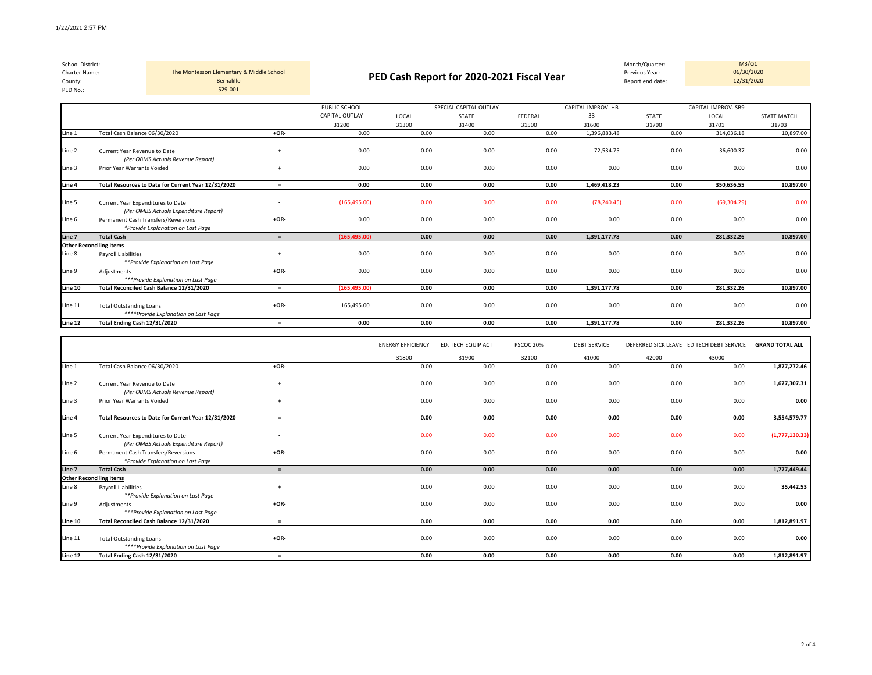| School District:<br>Charter Name:<br>County:<br>PED No.: |                               | The Montessori Elementary & Middle School<br><b>Bernalillo</b><br>529-001 |      | PED Cash Report for 2020-2021 Fiscal Year |       |                        |         |                    | Month/Quarter:<br>Previous Year:<br>Report end date: | M3/Q1<br>06/30/2020<br>12/31/2020 |                    |
|----------------------------------------------------------|-------------------------------|---------------------------------------------------------------------------|------|-------------------------------------------|-------|------------------------|---------|--------------------|------------------------------------------------------|-----------------------------------|--------------------|
|                                                          |                               |                                                                           |      | PUBLIC SCHOOL                             |       | SPECIAL CAPITAL OUTLAY |         | CAPITAL IMPROV. HB |                                                      | CAPITAL IMPROV. SB9               |                    |
|                                                          |                               |                                                                           |      | CAPITAL OUTLAY                            | LOCAL | <b>STATE</b>           | FEDERAL | 33                 | STATE                                                | LOCAL                             | <b>STATE MATCH</b> |
|                                                          |                               |                                                                           |      | 31200                                     | 31300 | 31400                  | 31500   | 31600              | 31700                                                | 31701                             | 31703              |
| Line 1                                                   | Total Cash Balance 06/30/2020 |                                                                           | +OR- | 0.00                                      | 0.00  | 0.00                   | 0.00    | 1,396,883.48       | 0.00                                                 | 314,036.18                        | 10,897.00          |
| Line 2                                                   | Current Year Revenue to Date  | (Per OBMS Actuals Revenue Report)                                         |      | 0.00                                      | 0.00  | 0.00                   | 0.00    | 72,534.75          | 0.00                                                 | 36,600.37                         | 0.00               |
| Line 3                                                   | Prior Year Warrants Voided    |                                                                           |      | 0.00                                      | 0.00  | 0.00                   | 0.00    | 0.00               | 0.00                                                 | 0.00                              | 0.00               |
| Line 4                                                   |                               | Total Resources to Date for Current Year 12/31/2020                       |      | 0.00                                      | 0.00  | 0.00                   | 0.00    | 1.469.418.23       | 0.00                                                 | 350.636.55                        | 10.897.00          |

| Line 5  | Current Year Expenditures to Date<br>(Per OMBS Actuals Expenditure Report) |        | (165, 495.00) | 0.00 | 0.00 | 0.00 | (78, 240.45) | 0.00 | (69, 304.29) | 0.00      |
|---------|----------------------------------------------------------------------------|--------|---------------|------|------|------|--------------|------|--------------|-----------|
| Line 6  | Permanent Cash Transfers/Reversions<br>*Provide Explanation on Last Page   | $+OR-$ | 0.00          | 0.00 | 0.00 | 0.00 | 0.00         | 0.00 | 0.00         | 0.00      |
| Line 7  | <b>Total Cash</b>                                                          |        | (165, 495.00) | 0.00 | 0.00 | 0.00 | 1,391,177.78 | 0.00 | 281,332.26   | 10,897.00 |
|         | <b>Other Reconciling Items</b>                                             |        |               |      |      |      |              |      |              |           |
| Line 8  | Payroll Liabilities<br>**Provide Explanation on Last Page                  |        | 0.00          | 0.00 | 0.00 | 0.00 | 0.00         | 0.00 | 0.00         | 0.00      |
| Line 9  | Adjustments<br>***Provide Explanation on Last Page                         | $+OR-$ | 0.00          | 0.00 | 0.00 | 0.00 | 0.00         | 0.00 | 0.00         | 0.00      |
| Line 10 | Total Reconciled Cash Balance 12/31/2020                                   |        | (165, 495.00) | 0.00 | 0.00 | 0.00 | 1.391.177.78 | 0.00 | 281,332.26   | 10,897.00 |
| Line 11 | <b>Total Outstanding Loans</b><br>****Provide Explanation on Last Page     | $+OR-$ | 165,495.00    | 0.00 | 0.00 | 0.00 | 0.00         | 0.00 | 0.00         | 0.00      |
| Line 12 | Total Ending Cash 12/31/2020                                               |        | 0.00          | 0.00 | 0.00 | 0.00 | 1,391,177.78 | 0.00 | 281,332.26   | 10,897.00 |

|         |                                                                            |                          | <b>ENERGY EFFICIENCY</b> | ED. TECH EQUIP ACT | PSCOC 20% | <b>DEBT SERVICE</b> |       | DEFERRED SICK LEAVE ED TECH DEBT SERVICE | <b>GRAND TOTAL ALL</b> |
|---------|----------------------------------------------------------------------------|--------------------------|--------------------------|--------------------|-----------|---------------------|-------|------------------------------------------|------------------------|
|         |                                                                            |                          | 31800                    | 31900              | 32100     | 41000               | 42000 | 43000                                    |                        |
| Line 1  | Total Cash Balance 06/30/2020                                              | $+OR-$                   | 0.00                     | 0.00               | 0.00      | 0.00                | 0.00  | 0.00                                     | 1,877,272.46           |
| Line 2  | Current Year Revenue to Date<br>(Per OBMS Actuals Revenue Report)          | $\overline{ }$           | 0.00                     | 0.00               | 0.00      | 0.00                | 0.00  | 0.00                                     | 1,677,307.31           |
| Line 3  | Prior Year Warrants Voided                                                 | $\ddot{}$                | 0.00                     | 0.00               | 0.00      | 0.00                | 0.00  | 0.00                                     | 0.00                   |
| Line 4  | Total Resources to Date for Current Year 12/31/2020                        | $=$                      | 0.00                     | 0.00               | 0.00      | 0.00                | 0.00  | 0.00                                     | 3,554,579.77           |
| Line 5  | Current Year Expenditures to Date<br>(Per OMBS Actuals Expenditure Report) | $\overline{\phantom{a}}$ | 0.00                     | 0.00               | 0.00      | 0.00                | 0.00  | 0.00                                     | (1,777,130.33)         |
| Line 6  | Permanent Cash Transfers/Reversions<br>*Provide Explanation on Last Page   | $+OR-$                   | 0.00                     | 0.00               | 0.00      | 0.00                | 0.00  | 0.00                                     | 0.00                   |
| Line 7  | <b>Total Cash</b>                                                          | $=$                      | 0.00                     | 0.00               | 0.00      | 0.00                | 0.00  | 0.00                                     | 1,777,449.44           |
|         | <b>Other Reconciling Items</b>                                             |                          |                          |                    |           |                     |       |                                          |                        |
| Line 8  | <b>Payroll Liabilities</b><br>**Provide Explanation on Last Page           | $\overline{ }$           | 0.00                     | 0.00               | 0.00      | 0.00                | 0.00  | 0.00                                     | 35,442.53              |
| Line 9  | Adjustments<br>***Provide Explanation on Last Page                         | $+OR-$                   | 0.00                     | 0.00               | 0.00      | 0.00                | 0.00  | 0.00                                     | 0.00                   |
| Line 10 | Total Reconciled Cash Balance 12/31/2020                                   | $=$                      | 0.00                     | 0.00               | 0.00      | 0.00                | 0.00  | 0.00                                     | 1,812,891.97           |
| Line 11 | <b>Total Outstanding Loans</b><br>****Provide Explanation on Last Page     | $+OR-$                   | 0.00                     | 0.00               | 0.00      | 0.00                | 0.00  | 0.00                                     | 0.00                   |
| Line 12 | Total Ending Cash 12/31/2020                                               | $=$                      | 0.00                     | 0.00               | 0.00      | 0.00                | 0.00  | 0.00                                     | 1,812,891.97           |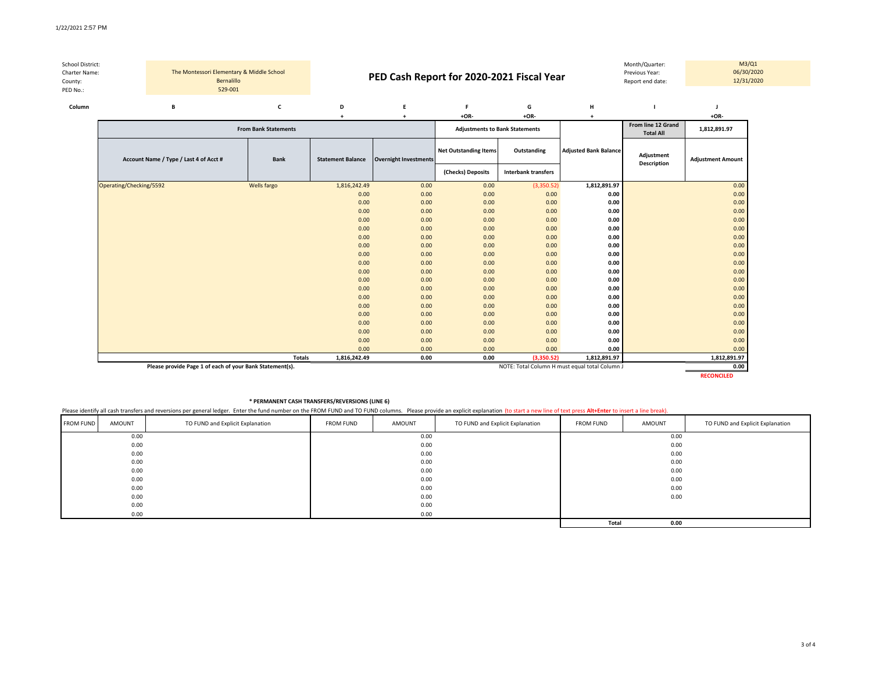| School District:<br>Charter Name:<br>County: |  | The Montessori Elementary & Middle School<br>Bernalillo |                             |                                                          | PED Cash Report for 2020-2021 Fiscal Year |                                       |                     |                              | Month/Quarter:<br>Previous Year:<br>Report end date: |                          | M3/Q1<br>06/30/2020<br>12/31/2020 |
|----------------------------------------------|--|---------------------------------------------------------|-----------------------------|----------------------------------------------------------|-------------------------------------------|---------------------------------------|---------------------|------------------------------|------------------------------------------------------|--------------------------|-----------------------------------|
| PED No.:                                     |  | 529-001                                                 |                             |                                                          |                                           |                                       |                     |                              |                                                      |                          |                                   |
| Column                                       |  | в                                                       |                             | D                                                        |                                           |                                       | G                   | н                            |                                                      |                          |                                   |
|                                              |  |                                                         |                             |                                                          |                                           | $+OR-$                                | $+OR-$              |                              |                                                      | $+OR-$                   |                                   |
|                                              |  |                                                         | <b>From Bank Statements</b> |                                                          |                                           | <b>Adjustments to Bank Statements</b> |                     |                              | From line 12 Grand<br><b>Total All</b>               | 1,812,891.97             |                                   |
|                                              |  | Account Name / Type / Last 4 of Acct #                  | <b>Bank</b>                 | <b>Statement Balance</b><br><b>Overnight Investments</b> |                                           | <b>Net Outstanding Items</b>          | Outstanding         | <b>Adjusted Bank Balance</b> | Adjustment<br><b>Description</b>                     | <b>Adjustment Amount</b> |                                   |
|                                              |  |                                                         |                             |                                                          |                                           | (Checks) Deposits                     | Interbank transfers |                              |                                                      |                          |                                   |

|                         |               |              |      | (Checks) Deposits | interbank transfers |              |              |
|-------------------------|---------------|--------------|------|-------------------|---------------------|--------------|--------------|
| Operating/Checking/5592 | Wells fargo   | 1,816,242.49 | 0.00 | 0.00              | (3,350.52)          | 1,812,891.97 | 0.00         |
|                         |               | 0.00         | 0.00 | 0.00              | 0.00                | 0.00         | 0.00         |
|                         |               | 0.00         | 0.00 | 0.00              | 0.00                | 0.00         | 0.00         |
|                         |               | 0.00         | 0.00 | 0.00              | 0.00                | 0.00         | 0.00         |
|                         |               | 0.00         | 0.00 | 0.00              | 0.00                | 0.00         | 0.00         |
|                         |               | 0.00         | 0.00 | 0.00              | 0.00                | 0.00         | 0.00         |
|                         |               | 0.00         | 0.00 | 0.00              | 0.00                | 0.00         | 0.00         |
|                         |               | 0.00         | 0.00 | 0.00              | 0.00                | 0.00         | 0.00         |
|                         |               | 0.00         | 0.00 | 0.00              | 0.00                | 0.00         | 0.00         |
|                         |               | 0.00         | 0.00 | 0.00              | 0.00                | 0.00         | 0.00         |
|                         |               | 0.00         | 0.00 | 0.00              | 0.00                | 0.00         | 0.00         |
|                         |               | 0.00         | 0.00 | 0.00              | 0.00                | 0.00         | 0.00         |
|                         |               | 0.00         | 0.00 | 0.00              | 0.00                | 0.00         | 0.00         |
|                         |               | 0.00         | 0.00 | 0.00              | 0.00                | 0.00         | 0.00         |
|                         |               | 0.00         | 0.00 | 0.00              | 0.00                | 0.00         | 0.00         |
|                         |               | 0.00         | 0.00 | 0.00              | 0.00                | 0.00         | 0.00         |
|                         |               | 0.00         | 0.00 | 0.00              | 0.00                | 0.00         | 0.00         |
|                         |               | 0.00         | 0.00 | 0.00              | 0.00                | 0.00         | 0.00         |
|                         |               | 0.00         | 0.00 | 0.00              | 0.00                | 0.00         | 0.00         |
|                         |               | 0.00         | 0.00 | 0.00              | 0.00                | 0.00         | 0.00         |
|                         | <b>Totals</b> | 1,816,242.49 | 0.00 | 0.00              | (3,350.52)          | 1,812,891.97 | 1,812,891.97 |

**Please provide Page 1 of each of your Bank Statement(s). Depited by the column of the column of the column of the column of the column of the column of the column of the column of the column of the column of the column** 

**RECONCILED**

## **\* PERMANENT CASH TRANSFERS/REVERSIONS (LINE 6)**

Please identify all cash transfers and reversions per general ledger. Enter the fund number on the FROM FUND and TO FUND columns. Please provide an explicit explanation (to start a new line of text press Alt+Enter to inser

| <b>FROM FUND</b> | AMOUNT | TO FUND and Explicit Explanation | <b>FROM FUND</b> | AMOUNT | TO FUND and Explicit Explanation | <b>FROM FUND</b> | AMOUNT | TO FUND and Explicit Explanation |  |  |
|------------------|--------|----------------------------------|------------------|--------|----------------------------------|------------------|--------|----------------------------------|--|--|
|                  | 0.00   |                                  |                  | 0.00   |                                  | 0.00             |        |                                  |  |  |
|                  | 0.00   |                                  |                  | 0.00   |                                  |                  | 0.00   |                                  |  |  |
|                  | 0.00   |                                  |                  | 0.00   |                                  |                  | 0.00   |                                  |  |  |
|                  | 0.00   |                                  |                  | 0.00   |                                  | 0.00             |        |                                  |  |  |
|                  | 0.00   |                                  |                  | 0.00   |                                  | 0.00             |        |                                  |  |  |
|                  | 0.00   |                                  |                  | 0.00   |                                  | 0.00             |        |                                  |  |  |
|                  | 0.00   |                                  |                  | 0.00   |                                  |                  | 0.00   |                                  |  |  |
|                  | 0.00   |                                  |                  | 0.00   |                                  |                  | 0.00   |                                  |  |  |
|                  | 0.00   |                                  |                  | 0.00   |                                  |                  |        |                                  |  |  |
|                  | 0.00   |                                  |                  | 0.00   |                                  |                  |        |                                  |  |  |
|                  |        |                                  |                  |        |                                  | Total            | 0.00   |                                  |  |  |